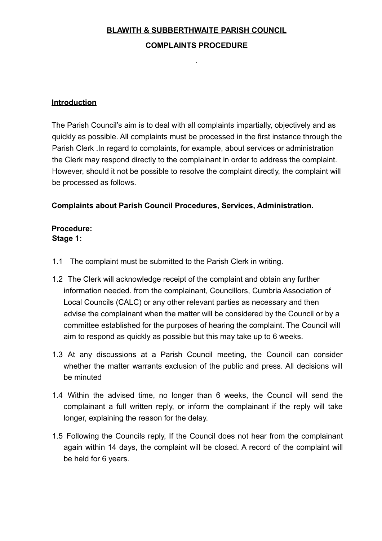## **BLAWITH & SUBBERTHWAITE PARISH COUNCIL**

### **COMPLAINTS PROCEDURE**

.

### **Introduction**

The Parish Council's aim is to deal with all complaints impartially, objectively and as quickly as possible. All complaints must be processed in the first instance through the Parish Clerk .In regard to complaints, for example, about services or administration the Clerk may respond directly to the complainant in order to address the complaint. However, should it not be possible to resolve the complaint directly, the complaint will be processed as follows.

### **Complaints about Parish Council Procedures, Services, Administration.**

## **Procedure: Stage 1:**

- 1.1 The complaint must be submitted to the Parish Clerk in writing.
- 1.2 The Clerk will acknowledge receipt of the complaint and obtain any further information needed. from the complainant, Councillors, Cumbria Association of Local Councils (CALC) or any other relevant parties as necessary and then advise the complainant when the matter will be considered by the Council or by a committee established for the purposes of hearing the complaint. The Council will aim to respond as quickly as possible but this may take up to 6 weeks.
- 1.3 At any discussions at a Parish Council meeting, the Council can consider whether the matter warrants exclusion of the public and press. All decisions will be minuted
- 1.4 Within the advised time, no longer than 6 weeks, the Council will send the complainant a full written reply, or inform the complainant if the reply will take longer, explaining the reason for the delay.
- 1.5 Following the Councils reply, If the Council does not hear from the complainant again within 14 days, the complaint will be closed. A record of the complaint will be held for 6 years.